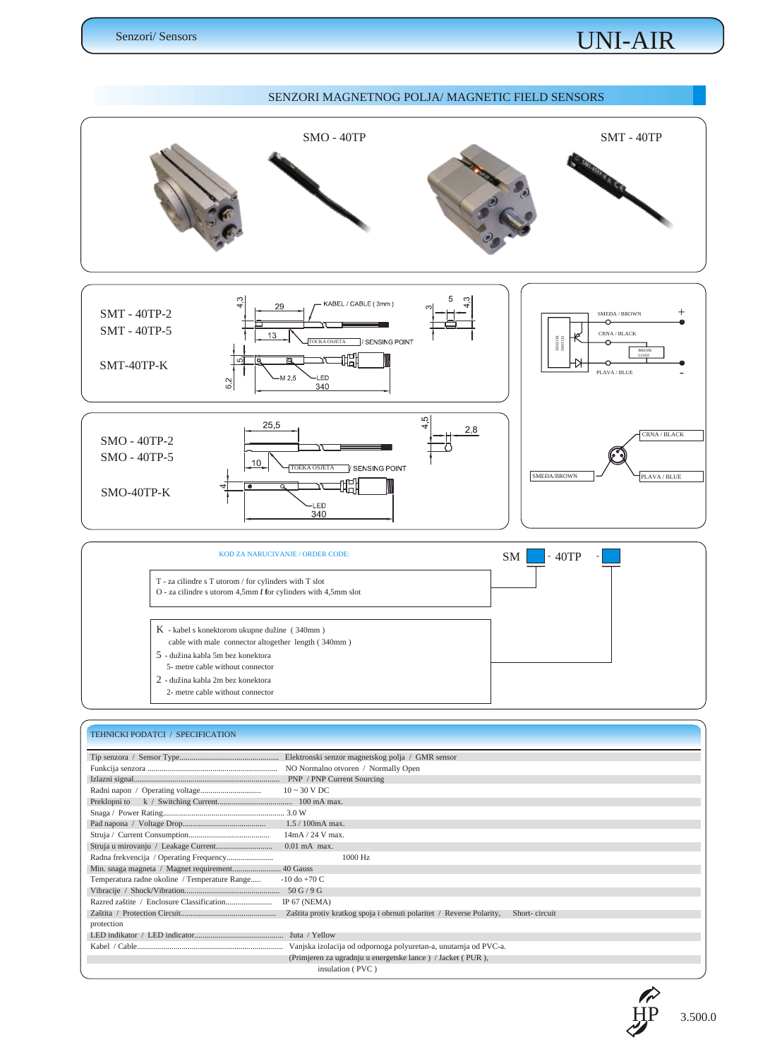## *UNI-AIR*

#### *SENZORI MAGNETNOG POLJA/ MAGNETIC FIELD SENSORS SMO - 40TP SMT - 40TP* 5 KABEL / CABLE (3mm) *SMT - 40TP-2 SMEÐA / BROWN +* Ő. *SMT - 40TP-5 CRNA / BLACK* / SENSING POINT *SENZOR SWITCH TOCKA OSJETA BREME* -<br>基 *LOAD* ᠊ᡳ *SMT-40TP-K*  $\sim$ *PLAVA / BLUE -* .<br>LED 6,2 340  $4,5$ 25,5  $2,8$ *CRNA / BLACK SMO - 40TP-2* زخ *SMO - 40TP-5*  $10<sup>1</sup>$ V SENSING POINT *TOÈKA OSJETASMEÐA/BROWN PLAVA / BLUE* 皨 ٦ī *SMO-40TP-K* LED<sup>-</sup>  $\frac{2}{340}$ *KOD ZA NARUCIVANJE / ORDER CODE: SM - 40TP - T - za cilindre s T utorom / for cylinders with T slot O* - za cilindre s utorom 4,5mm  $f$  for cylinders with 4,5mm slot *K - kabel s konektorom ukupne dužine ( 340mm )*

- *cable with male connector altogether length ( 340mm )*
- *5 dužina kabla 5m bez konektora*
- *5- metre cable without connector*
- *2 dužina kabla 2m bez konektora*
- *2- metre cable without connector*

### *TEHNICKI PODATCI / SPECIFICATION*

|                                               | NO Normalno otvoren / Normally Open                              |
|-----------------------------------------------|------------------------------------------------------------------|
|                                               |                                                                  |
|                                               | $10 \sim 30 \text{ V } \text{DC}$                                |
|                                               |                                                                  |
|                                               |                                                                  |
|                                               | $1.5 / 100$ mA max.                                              |
|                                               | 14mA / 24 V max.                                                 |
|                                               | $0.01$ mA max.                                                   |
|                                               | 1000 Hz                                                          |
|                                               |                                                                  |
| Temperatura radne okoline / Temperature Range | $-10$ do $+70$ C                                                 |
|                                               |                                                                  |
|                                               | IP $67$ (NEMA)                                                   |
|                                               | Short-circuit                                                    |
| protection                                    |                                                                  |
|                                               | žuta / Yellow                                                    |
|                                               | Vanjska izolacija od odpornoga polyuretan-a, unutarnja od PVC-a. |
|                                               | (Primjeren za ugradnju u energetske lance) / Jacket (PUR),       |
|                                               | insulation (PVC)                                                 |